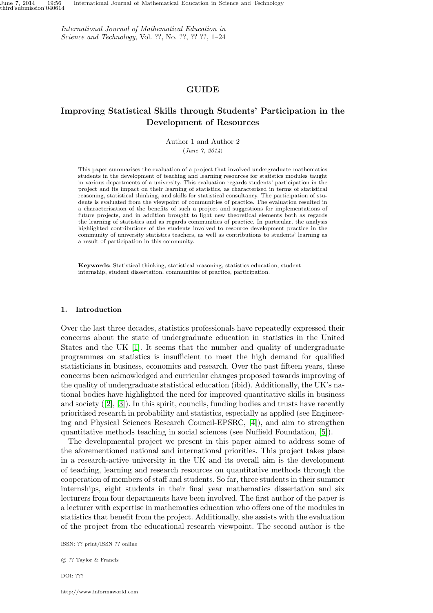International Journal of Mathematical Education in Science and Technology, Vol. ??, No. ??, ?? ??, 1–24

## GUIDE

# Improving Statistical Skills through Students' Participation in the Development of Resources

Author 1 and Author 2 (June 7, 2014)

This paper summarises the evaluation of a project that involved undergraduate mathematics students in the development of teaching and learning resources for statistics modules taught in various departments of a university. This evaluation regards students' participation in the project and its impact on their learning of statistics, as characterised in terms of statistical reasoning, statistical thinking, and skills for statistical consultancy. The participation of students is evaluated from the viewpoint of communities of practice. The evaluation resulted in a characterisation of the benefits of such a project and suggestions for implementations of future projects, and in addition brought to light new theoretical elements both as regards the learning of statistics and as regards communities of practice. In particular, the analysis highlighted contributions of the students involved to resource development practice in the community of university statistics teachers, as well as contributions to students' learning as a result of participation in this community.

Keywords: Statistical thinking, statistical reasoning, statistics education, student internship, student dissertation, communities of practice, participation.

#### 1. Introduction

Over the last three decades, statistics professionals have repeatedly expressed their concerns about the state of undergraduate education in statistics in the United States and the UK [\[1\]](#page-22-0). It seems that the number and quality of undergraduate programmes on statistics is insufficient to meet the high demand for qualified statisticians in business, economics and research. Over the past fifteen years, these concerns been acknowledged and curricular changes proposed towards improving of the quality of undergraduate statistical education (ibid). Additionally, the UK's national bodies have highlighted the need for improved quantitative skills in business and society  $([2], [3])$  $([2], [3])$  $([2], [3])$  $([2], [3])$  $([2], [3])$ . In this spirit, councils, funding bodies and trusts have recently prioritised research in probability and statistics, especially as applied (see Engineering and Physical Sciences Research Council-EPSRC, [\[4\]](#page-22-3)), and aim to strengthen quantitative methods teaching in social sciences (see Nuffield Foundation, [\[5\]](#page-22-4)).

The developmental project we present in this paper aimed to address some of the aforementioned national and international priorities. This project takes place in a research-active university in the UK and its overall aim is the development of teaching, learning and research resources on quantitative methods through the cooperation of members of staff and students. So far, three students in their summer internships, eight students in their final year mathematics dissertation and six lecturers from four departments have been involved. The first author of the paper is a lecturer with expertise in mathematics education who offers one of the modules in statistics that benefit from the project. Additionally, she assists with the evaluation of the project from the educational research viewpoint. The second author is the

ISSN: ?? print/ISSN ?? online

DOI: ???

c ?? Taylor & Francis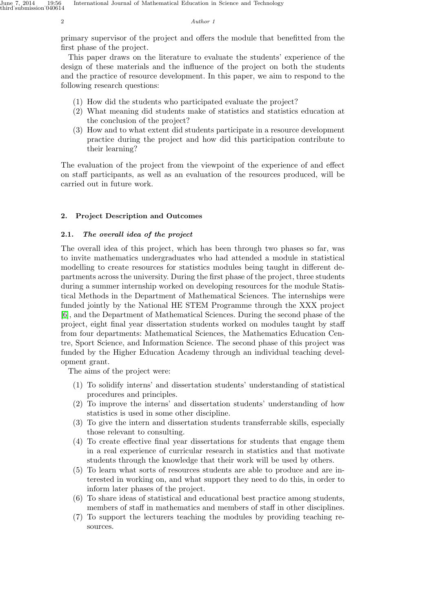primary supervisor of the project and offers the module that benefitted from the first phase of the project.

This paper draws on the literature to evaluate the students' experience of the design of these materials and the influence of the project on both the students and the practice of resource development. In this paper, we aim to respond to the following research questions:

- (1) How did the students who participated evaluate the project?
- (2) What meaning did students make of statistics and statistics education at the conclusion of the project?
- (3) How and to what extent did students participate in a resource development practice during the project and how did this participation contribute to their learning?

The evaluation of the project from the viewpoint of the experience of and effect on staff participants, as well as an evaluation of the resources produced, will be carried out in future work.

# 2. Project Description and Outcomes

# 2.1. The overall idea of the project

The overall idea of this project, which has been through two phases so far, was to invite mathematics undergraduates who had attended a module in statistical modelling to create resources for statistics modules being taught in different departments across the university. During the first phase of the project, three students during a summer internship worked on developing resources for the module Statistical Methods in the Department of Mathematical Sciences. The internships were funded jointly by the National HE STEM Programme through the XXX project [\[6\]](#page-22-5), and the Department of Mathematical Sciences. During the second phase of the project, eight final year dissertation students worked on modules taught by staff from four departments: Mathematical Sciences, the Mathematics Education Centre, Sport Science, and Information Science. The second phase of this project was funded by the Higher Education Academy through an individual teaching development grant.

The aims of the project were:

- (1) To solidify interns' and dissertation students' understanding of statistical procedures and principles.
- (2) To improve the interns' and dissertation students' understanding of how statistics is used in some other discipline.
- (3) To give the intern and dissertation students transferrable skills, especially those relevant to consulting.
- (4) To create effective final year dissertations for students that engage them in a real experience of curricular research in statistics and that motivate students through the knowledge that their work will be used by others.
- (5) To learn what sorts of resources students are able to produce and are interested in working on, and what support they need to do this, in order to inform later phases of the project.
- (6) To share ideas of statistical and educational best practice among students, members of staff in mathematics and members of staff in other disciplines.
- (7) To support the lecturers teaching the modules by providing teaching resources.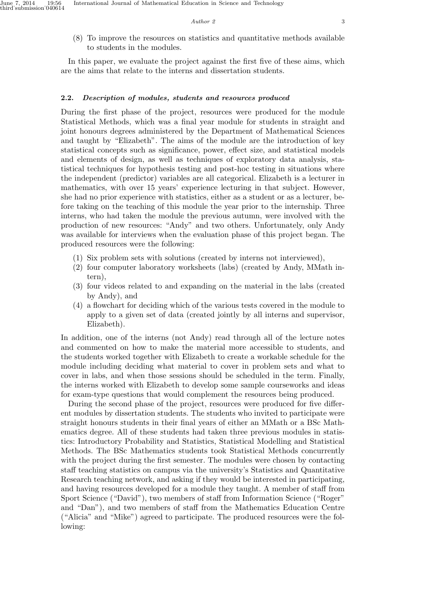(8) To improve the resources on statistics and quantitative methods available to students in the modules.

In this paper, we evaluate the project against the first five of these aims, which are the aims that relate to the interns and dissertation students.

#### 2.2. Description of modules, students and resources produced

During the first phase of the project, resources were produced for the module Statistical Methods, which was a final year module for students in straight and joint honours degrees administered by the Department of Mathematical Sciences and taught by "Elizabeth". The aims of the module are the introduction of key statistical concepts such as significance, power, effect size, and statistical models and elements of design, as well as techniques of exploratory data analysis, statistical techniques for hypothesis testing and post-hoc testing in situations where the independent (predictor) variables are all categorical. Elizabeth is a lecturer in mathematics, with over 15 years' experience lecturing in that subject. However, she had no prior experience with statistics, either as a student or as a lecturer, before taking on the teaching of this module the year prior to the internship. Three interns, who had taken the module the previous autumn, were involved with the production of new resources: "Andy" and two others. Unfortunately, only Andy was available for interviews when the evaluation phase of this project began. The produced resources were the following:

- (1) Six problem sets with solutions (created by interns not interviewed),
- (2) four computer laboratory worksheets (labs) (created by Andy, MMath intern),
- (3) four videos related to and expanding on the material in the labs (created by Andy), and
- (4) a flowchart for deciding which of the various tests covered in the module to apply to a given set of data (created jointly by all interns and supervisor, Elizabeth).

In addition, one of the interns (not Andy) read through all of the lecture notes and commented on how to make the material more accessible to students, and the students worked together with Elizabeth to create a workable schedule for the module including deciding what material to cover in problem sets and what to cover in labs, and when those sessions should be scheduled in the term. Finally, the interns worked with Elizabeth to develop some sample courseworks and ideas for exam-type questions that would complement the resources being produced.

During the second phase of the project, resources were produced for five different modules by dissertation students. The students who invited to participate were straight honours students in their final years of either an MMath or a BSc Mathematics degree. All of these students had taken three previous modules in statistics: Introductory Probability and Statistics, Statistical Modelling and Statistical Methods. The BSc Mathematics students took Statistical Methods concurrently with the project during the first semester. The modules were chosen by contacting staff teaching statistics on campus via the university's Statistics and Quantitative Research teaching network, and asking if they would be interested in participating, and having resources developed for a module they taught. A member of staff from Sport Science ("David"), two members of staff from Information Science ("Roger" and "Dan"), and two members of staff from the Mathematics Education Centre ("Alicia" and "Mike") agreed to participate. The produced resources were the following: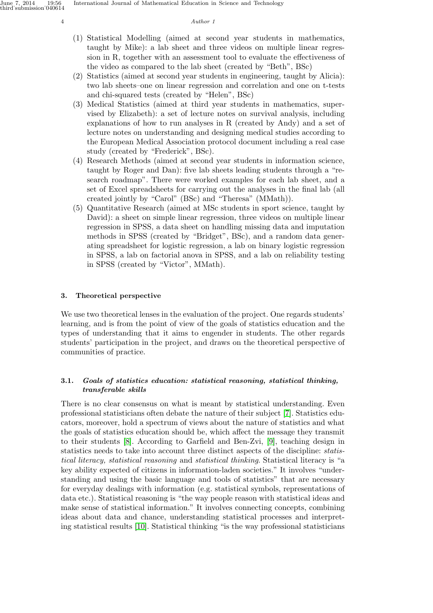- (1) Statistical Modelling (aimed at second year students in mathematics, taught by Mike): a lab sheet and three videos on multiple linear regression in R, together with an assessment tool to evaluate the effectiveness of the video as compared to the lab sheet (created by "Beth", BSc)
- (2) Statistics (aimed at second year students in engineering, taught by Alicia): two lab sheets–one on linear regression and correlation and one on t-tests and chi-squared tests (created by "Helen", BSc)
- (3) Medical Statistics (aimed at third year students in mathematics, supervised by Elizabeth): a set of lecture notes on survival analysis, including explanations of how to run analyses in R (created by Andy) and a set of lecture notes on understanding and designing medical studies according to the European Medical Association protocol document including a real case study (created by "Frederick", BSc).
- (4) Research Methods (aimed at second year students in information science, taught by Roger and Dan): five lab sheets leading students through a "research roadmap". There were worked examples for each lab sheet, and a set of Excel spreadsheets for carrying out the analyses in the final lab (all created jointly by "Carol" (BSc) and "Theresa" (MMath)).
- (5) Quantitative Research (aimed at MSc students in sport science, taught by David): a sheet on simple linear regression, three videos on multiple linear regression in SPSS, a data sheet on handling missing data and imputation methods in SPSS (created by "Bridget", BSc), and a random data generating spreadsheet for logistic regression, a lab on binary logistic regression in SPSS, a lab on factorial anova in SPSS, and a lab on reliability testing in SPSS (created by "Victor", MMath).

# 3. Theoretical perspective

We use two theoretical lenses in the evaluation of the project. One regards students' learning, and is from the point of view of the goals of statistics education and the types of understanding that it aims to engender in students. The other regards students' participation in the project, and draws on the theoretical perspective of communities of practice.

# 3.1. Goals of statistics education: statistical reasoning, statistical thinking, transferable skills

There is no clear consensus on what is meant by statistical understanding. Even professional statisticians often debate the nature of their subject [\[7\]](#page-22-6). Statistics educators, moreover, hold a spectrum of views about the nature of statistics and what the goals of statistics education should be, which affect the message they transmit to their students [\[8\]](#page-22-7). According to Garfield and Ben-Zvi, [\[9\]](#page-22-8), teaching design in statistics needs to take into account three distinct aspects of the discipline: statistical literacy, statistical reasoning and statistical thinking. Statistical literacy is "a key ability expected of citizens in information-laden societies." It involves "understanding and using the basic language and tools of statistics" that are necessary for everyday dealings with information (e.g. statistical symbols, representations of data etc.). Statistical reasoning is "the way people reason with statistical ideas and make sense of statistical information." It involves connecting concepts, combining ideas about data and chance, understanding statistical processes and interpreting statistical results [\[10\]](#page-22-9). Statistical thinking "is the way professional statisticians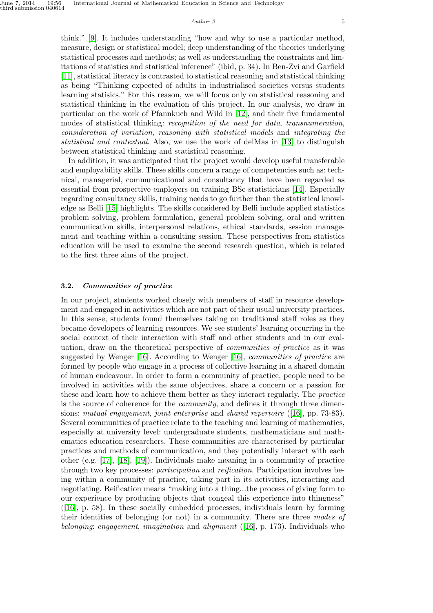think." [\[9\]](#page-22-8). It includes understanding "how and why to use a particular method, measure, design or statistical model; deep understanding of the theories underlying statistical processes and methods; as well as understanding the constraints and limitations of statistics and statistical inference" (ibid, p. 34). In Ben-Zvi and Garfield [\[11\]](#page-22-10), statistical literacy is contrasted to statistical reasoning and statistical thinking as being "Thinking expected of adults in industrialised societies versus students learning statisics." For this reason, we will focus only on statistical reasoning and statistical thinking in the evaluation of this project. In our analysis, we draw in particular on the work of Pfannkuch and Wild in [\[12\]](#page-22-11), and their five fundamental modes of statistical thinking: recognition of the need for data, transnumeration, consideration of variation, reasoning with statistical models and integrating the statistical and contextual. Also, we use the work of delMas in [\[13\]](#page-22-12) to distinguish between statistical thinking and statistical reasoning.

In addition, it was anticipated that the project would develop useful transferable and employability skills. These skills concern a range of competencies such as: technical, managerial, communicational and consultancy that have been regarded as essential from prospective employers on training BSc statisticians [\[14\]](#page-22-13). Especially regarding consultancy skills, training needs to go further than the statistical knowledge as Belli [\[15\]](#page-22-14) highlights. The skills considered by Belli include applied statistics problem solving, problem formulation, general problem solving, oral and written communication skills, interpersonal relations, ethical standards, session management and teaching within a consulting session. These perspectives from statistics education will be used to examine the second research question, which is related to the first three aims of the project.

#### 3.2. Communities of practice

In our project, students worked closely with members of staff in resource development and engaged in activities which are not part of their usual university practices. In this sense, students found themselves taking on traditional staff roles as they became developers of learning resources. We see students' learning occurring in the social context of their interaction with staff and other students and in our evaluation, draw on the theoretical perspective of communities of practice as it was suggested by Wenger  $[16]$ . According to Wenger  $[16]$ , *communities of practice* are formed by people who engage in a process of collective learning in a shared domain of human endeavour. In order to form a community of practice, people need to be involved in activities with the same objectives, share a concern or a passion for these and learn how to achieve them better as they interact regularly. The practice is the source of coherence for the community, and defines it through three dimensions: mutual engagement, joint enterprise and shared repertoire ([\[16\]](#page-22-15), pp. 73-83). Several communities of practice relate to the teaching and learning of mathematics, especially at university level: undergraduate students, mathematicians and mathematics education researchers. These communities are characterised by particular practices and methods of communication, and they potentially interact with each other (e.g. [\[17\]](#page-22-16), [\[18\]](#page-22-17), [\[19\]](#page-22-18)). Individuals make meaning in a community of practice through two key processes: participation and reification. Participation involves being within a community of practice, taking part in its activities, interacting and negotiating. Reification means "making into a thing...the process of giving form to our experience by producing objects that congeal this experience into thingness" ([\[16\]](#page-22-15), p. 58). In these socially embedded processes, individuals learn by forming their identities of belonging (or not) in a community. There are three modes of belonging: engagement, imagination and alignment ([\[16\]](#page-22-15), p. 173). Individuals who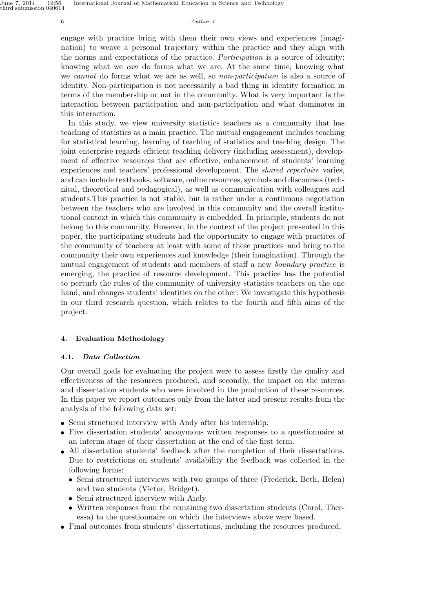engage with practice bring with them their own views and experiences (imagination) to weave a personal trajectory within the practice and they align with the norms and expectations of the practice. Participation is a source of identity; knowing what we can do forms what we are. At the same time, knowing what we *cannot* do forms what we are as well, so *non-participation* is also a source of identity. Non-participation is not necessarily a bad thing in identity formation in terms of the membership or not in the community. What is very important is the interaction between participation and non-participation and what dominates in this interaction.

In this study, we view university statistics teachers as a community that has teaching of statistics as a main practice. The mutual engagement includes teaching for statistical learning, learning of teaching of statistics and teaching design. The joint enterprise regards efficient teaching delivery (including assessment), development of effective resources that are effective, enhancement of students' learning experiences and teachers' professional development. The shared repertoire varies, and can include textbooks, software, online resources, symbols and discourses (technical, theoretical and pedagogical), as well as communication with colleagues and students.This practice is not stable, but is rather under a continuous negotiation between the teachers who are involved in this community and the overall institutional context in which this community is embedded. In principle, students do not belong to this community. However, in the context of the project presented in this paper, the participating students had the opportunity to engage with practices of the community of teachers–at least with some of these practices–and bring to the community their own experiences and knowledge (their imagination). Through the mutual engagement of students and members of staff a new boundary practice is emerging, the practice of resource development. This practice has the potential to perturb the rules of the community of university statistics teachers on the one hand, and changes students' identities on the other. We investigate this hypothesis in our third research question, which relates to the fourth and fifth aims of the project.

# 4. Evaluation Methodology

## 4.1. Data Collection

Our overall goals for evaluating the project were to assess firstly the quality and effectiveness of the resources produced, and secondly, the impact on the interns and dissertation students who were involved in the production of these resources. In this paper we report outcomes only from the latter and present results from the analysis of the following data set:

- Semi structured interview with Andy after his internship.
- Five dissertation students' anonymous written responses to a questionnaire at an interim stage of their dissertation at the end of the first term.
- All dissertation students' feedback after the completion of their dissertations. Due to restrictions on students' availability the feedback was collected in the following forms:
	- Semi structured interviews with two groups of three (Frederick, Beth, Helen) and two students (Victor, Bridget).
	- Semi structured interview with Andy.
	- Written responses from the remaining two dissertation students (Carol, Theressa) to the questionnaire on which the interviews above were based.
- Final outcomes from students' dissertations, including the resources produced.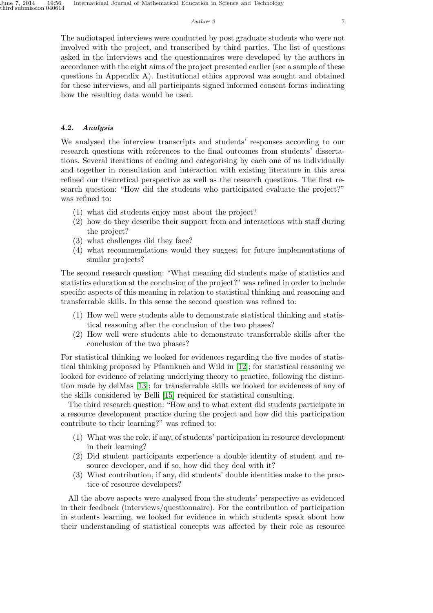The audiotaped interviews were conducted by post graduate students who were not involved with the project, and transcribed by third parties. The list of questions asked in the interviews and the questionnaires were developed by the authors in accordance with the eight aims of the project presented earlier (see a sample of these questions in Appendix A). Institutional ethics approval was sought and obtained for these interviews, and all participants signed informed consent forms indicating how the resulting data would be used.

# 4.2. Analysis

We analysed the interview transcripts and students' responses according to our research questions with references to the final outcomes from students' dissertations. Several iterations of coding and categorising by each one of us individually and together in consultation and interaction with existing literature in this area refined our theoretical perspective as well as the research questions. The first research question: "How did the students who participated evaluate the project?" was refined to:

- (1) what did students enjoy most about the project?
- (2) how do they describe their support from and interactions with staff during the project?
- (3) what challenges did they face?
- (4) what recommendations would they suggest for future implementations of similar projects?

The second research question: "What meaning did students make of statistics and statistics education at the conclusion of the project?" was refined in order to include specific aspects of this meaning in relation to statistical thinking and reasoning and transferrable skills. In this sense the second question was refined to:

- (1) How well were students able to demonstrate statistical thinking and statistical reasoning after the conclusion of the two phases?
- (2) How well were students able to demonstrate transferrable skills after the conclusion of the two phases?

For statistical thinking we looked for evidences regarding the five modes of statistical thinking proposed by Pfannkuch and Wild in [\[12\]](#page-22-11); for statistical reasoning we looked for evidence of relating underlying theory to practice, following the distinction made by delMas [\[13\]](#page-22-12); for transferrable skills we looked for evidences of any of the skills considered by Belli [\[15\]](#page-22-14) required for statistical consulting.

The third research question: "How and to what extent did students participate in a resource development practice during the project and how did this participation contribute to their learning?" was refined to:

- (1) What was the role, if any, of students' participation in resource development in their learning?
- (2) Did student participants experience a double identity of student and resource developer, and if so, how did they deal with it?
- (3) What contribution, if any, did students' double identities make to the practice of resource developers?

All the above aspects were analysed from the students' perspective as evidenced in their feedback (interviews/questionnaire). For the contribution of participation in students learning, we looked for evidence in which students speak about how their understanding of statistical concepts was affected by their role as resource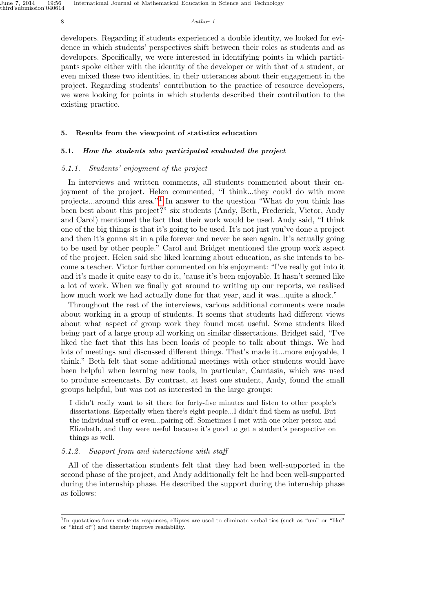June 7, 2014 19:56 International Journal of Mathematical Education in Science and Technology third˙submission˙040614

8 Author 1

developers. Regarding if students experienced a double identity, we looked for evidence in which students' perspectives shift between their roles as students and as developers. Specifically, we were interested in identifying points in which participants spoke either with the identity of the developer or with that of a student, or even mixed these two identities, in their utterances about their engagement in the project. Regarding students' contribution to the practice of resource developers, we were looking for points in which students described their contribution to the existing practice.

#### 5. Results from the viewpoint of statistics education

#### 5.1. How the students who participated evaluated the project

#### 5.1.1. Students' enjoyment of the project

In interviews and written comments, all students commented about their enjoyment of the project. Helen commented, "I think...they could do with more projects...around this area."<sup>[1](#page-7-0)</sup> In answer to the question "What do you think has been best about this project?" six students (Andy, Beth, Frederick, Victor, Andy and Carol) mentioned the fact that their work would be used. Andy said, "I think one of the big things is that it's going to be used. It's not just you've done a project and then it's gonna sit in a pile forever and never be seen again. It's actually going to be used by other people." Carol and Bridget mentioned the group work aspect of the project. Helen said she liked learning about education, as she intends to become a teacher. Victor further commented on his enjoyment: "I've really got into it and it's made it quite easy to do it, 'cause it's been enjoyable. It hasn't seemed like a lot of work. When we finally got around to writing up our reports, we realised how much work we had actually done for that year, and it was...quite a shock."

Throughout the rest of the interviews, various additional comments were made about working in a group of students. It seems that students had different views about what aspect of group work they found most useful. Some students liked being part of a large group all working on similar dissertations. Bridget said, "I've liked the fact that this has been loads of people to talk about things. We had lots of meetings and discussed different things. That's made it...more enjoyable, I think." Beth felt that some additional meetings with other students would have been helpful when learning new tools, in particular, Camtasia, which was used to produce screencasts. By contrast, at least one student, Andy, found the small groups helpful, but was not as interested in the large groups:

I didn't really want to sit there for forty-five minutes and listen to other people's dissertations. Especially when there's eight people...I didn't find them as useful. But the individual stuff or even...pairing off. Sometimes I met with one other person and Elizabeth, and they were useful because it's good to get a student's perspective on things as well.

#### 5.1.2. Support from and interactions with staff

All of the dissertation students felt that they had been well-supported in the second phase of the project, and Andy additionally felt he had been well-supported during the internship phase. He described the support during the internship phase as follows:

<span id="page-7-0"></span><sup>&</sup>lt;sup>1</sup>In quotations from students responses, ellipses are used to eliminate verbal tics (such as "um" or "like" or "kind of") and thereby improve readability.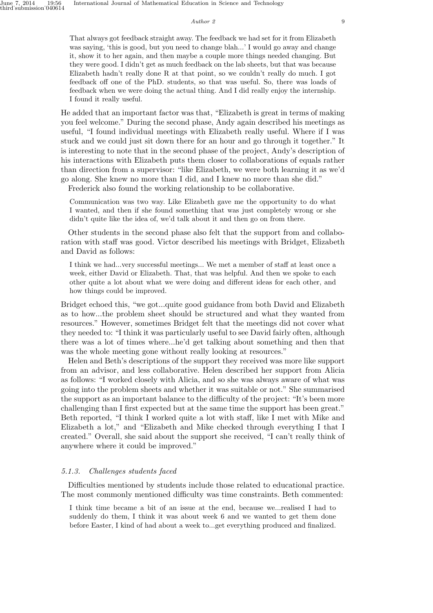# June 7, 2014 19:56 International Journal of Mathematical Education in Science and Technology

#### Author 2 9

That always got feedback straight away. The feedback we had set for it from Elizabeth was saying, 'this is good, but you need to change blah...' I would go away and change it, show it to her again, and then maybe a couple more things needed changing. But they were good. I didn't get as much feedback on the lab sheets, but that was because Elizabeth hadn't really done R at that point, so we couldn't really do much. I got feedback off one of the PhD. students, so that was useful. So, there was loads of feedback when we were doing the actual thing. And I did really enjoy the internship. I found it really useful.

He added that an important factor was that, "Elizabeth is great in terms of making you feel welcome." During the second phase, Andy again described his meetings as useful, "I found individual meetings with Elizabeth really useful. Where if I was stuck and we could just sit down there for an hour and go through it together." It is interesting to note that in the second phase of the project, Andy's description of his interactions with Elizabeth puts them closer to collaborations of equals rather than direction from a supervisor: "like Elizabeth, we were both learning it as we'd go along. She knew no more than I did, and I knew no more than she did."

Frederick also found the working relationship to be collaborative.

Communication was two way. Like Elizabeth gave me the opportunity to do what I wanted, and then if she found something that was just completely wrong or she didn't quite like the idea of, we'd talk about it and then go on from there.

Other students in the second phase also felt that the support from and collaboration with staff was good. Victor described his meetings with Bridget, Elizabeth and David as follows:

I think we had...very successful meetings... We met a member of staff at least once a week, either David or Elizabeth. That, that was helpful. And then we spoke to each other quite a lot about what we were doing and different ideas for each other, and how things could be improved.

Bridget echoed this, "we got...quite good guidance from both David and Elizabeth as to how...the problem sheet should be structured and what they wanted from resources." However, sometimes Bridget felt that the meetings did not cover what they needed to: "I think it was particularly useful to see David fairly often, although there was a lot of times where...he'd get talking about something and then that was the whole meeting gone without really looking at resources."

Helen and Beth's descriptions of the support they received was more like support from an advisor, and less collaborative. Helen described her support from Alicia as follows: "I worked closely with Alicia, and so she was always aware of what was going into the problem sheets and whether it was suitable or not." She summarised the support as an important balance to the difficulty of the project: "It's been more challenging than I first expected but at the same time the support has been great." Beth reported, "I think I worked quite a lot with staff, like I met with Mike and Elizabeth a lot," and "Elizabeth and Mike checked through everything I that I created." Overall, she said about the support she received, "I can't really think of anywhere where it could be improved."

## 5.1.3. Challenges students faced

Difficulties mentioned by students include those related to educational practice. The most commonly mentioned difficulty was time constraints. Beth commented:

I think time became a bit of an issue at the end, because we...realised I had to suddenly do them, I think it was about week 6 and we wanted to get them done before Easter, I kind of had about a week to...get everything produced and finalized.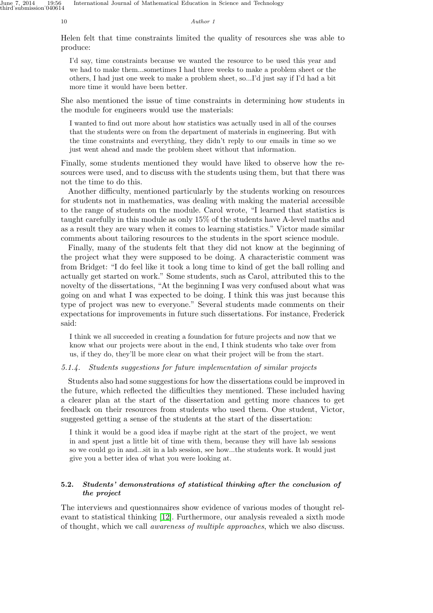Helen felt that time constraints limited the quality of resources she was able to produce:

I'd say, time constraints because we wanted the resource to be used this year and we had to make them...sometimes I had three weeks to make a problem sheet or the others, I had just one week to make a problem sheet, so...I'd just say if I'd had a bit more time it would have been better.

She also mentioned the issue of time constraints in determining how students in the module for engineers would use the materials:

I wanted to find out more about how statistics was actually used in all of the courses that the students were on from the department of materials in engineering. But with the time constraints and everything, they didn't reply to our emails in time so we just went ahead and made the problem sheet without that information.

Finally, some students mentioned they would have liked to observe how the resources were used, and to discuss with the students using them, but that there was not the time to do this.

Another difficulty, mentioned particularly by the students working on resources for students not in mathematics, was dealing with making the material accessible to the range of students on the module. Carol wrote, "I learned that statistics is taught carefully in this module as only 15% of the students have A-level maths and as a result they are wary when it comes to learning statistics." Victor made similar comments about tailoring resources to the students in the sport science module.

Finally, many of the students felt that they did not know at the beginning of the project what they were supposed to be doing. A characteristic comment was from Bridget: "I do feel like it took a long time to kind of get the ball rolling and actually get started on work." Some students, such as Carol, attributed this to the novelty of the dissertations, "At the beginning I was very confused about what was going on and what I was expected to be doing. I think this was just because this type of project was new to everyone." Several students made comments on their expectations for improvements in future such dissertations. For instance, Frederick said:

I think we all succeeded in creating a foundation for future projects and now that we know what our projects were about in the end, I think students who take over from us, if they do, they'll be more clear on what their project will be from the start.

#### 5.1.4. Students suggestions for future implementation of similar projects

Students also had some suggestions for how the dissertations could be improved in the future, which reflected the difficulties they mentioned. These included having a clearer plan at the start of the dissertation and getting more chances to get feedback on their resources from students who used them. One student, Victor, suggested getting a sense of the students at the start of the dissertation:

I think it would be a good idea if maybe right at the start of the project, we went in and spent just a little bit of time with them, because they will have lab sessions so we could go in and...sit in a lab session, see how...the students work. It would just give you a better idea of what you were looking at.

## 5.2. Students' demonstrations of statistical thinking after the conclusion of the project

The interviews and questionnaires show evidence of various modes of thought relevant to statistical thinking [\[12\]](#page-22-11). Furthermore, our analysis revealed a sixth mode of thought, which we call awareness of multiple approaches, which we also discuss.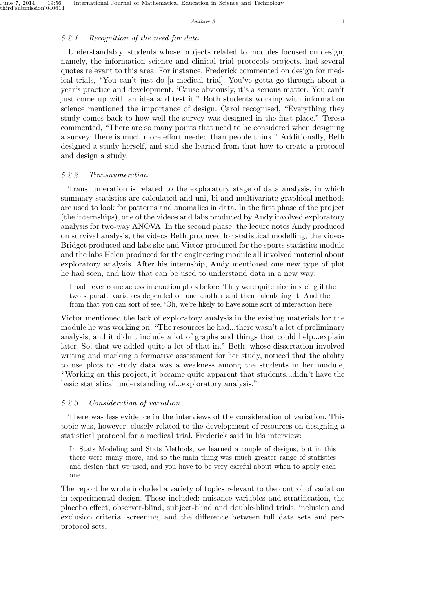## 5.2.1. Recognition of the need for data

Understandably, students whose projects related to modules focused on design, namely, the information science and clinical trial protocols projects, had several quotes relevant to this area. For instance, Frederick commented on design for medical trials, "You can't just do [a medical trial]. You've gotta go through about a year's practice and development. 'Cause obviously, it's a serious matter. You can't just come up with an idea and test it." Both students working with information science mentioned the importance of design. Carol recognised, "Everything they study comes back to how well the survey was designed in the first place." Teresa commented, "There are so many points that need to be considered when designing a survey; there is much more effort needed than people think." Additionally, Beth designed a study herself, and said she learned from that how to create a protocol and design a study.

## 5.2.2. Transnumeration

Transnumeration is related to the exploratory stage of data analysis, in which summary statistics are calculated and uni, bi and multivariate graphical methods are used to look for patterns and anomalies in data. In the first phase of the project (the internships), one of the videos and labs produced by Andy involved exploratory analysis for two-way ANOVA. In the second phase, the lecure notes Andy produced on survival analysis, the videos Beth produced for statistical modelling, the videos Bridget produced and labs she and Victor produced for the sports statistics module and the labs Helen produced for the engineering module all involved material about exploratory analysis. After his internship, Andy mentioned one new type of plot he had seen, and how that can be used to understand data in a new way:

I had never come across interaction plots before. They were quite nice in seeing if the two separate variables depended on one another and then calculating it. And then, from that you can sort of see, 'Oh, we're likely to have some sort of interaction here.'

Victor mentioned the lack of exploratory analysis in the existing materials for the module he was working on, "The resources he had...there wasn't a lot of preliminary analysis, and it didn't include a lot of graphs and things that could help...explain later. So, that we added quite a lot of that in." Beth, whose dissertation involved writing and marking a formative assessment for her study, noticed that the ability to use plots to study data was a weakness among the students in her module, "Working on this project, it became quite apparent that students...didn't have the basic statistical understanding of...exploratory analysis."

## 5.2.3. Consideration of variation

There was less evidence in the interviews of the consideration of variation. This topic was, however, closely related to the development of resources on designing a statistical protocol for a medical trial. Frederick said in his interview:

In Stats Modeling and Stats Methods, we learned a couple of designs, but in this there were many more, and so the main thing was much greater range of statistics and design that we used, and you have to be very careful about when to apply each one.

The report he wrote included a variety of topics relevant to the control of variation in experimental design. These included: nuisance variables and stratification, the placebo effect, observer-blind, subject-blind and double-blind trials, inclusion and exclusion criteria, screening, and the difference between full data sets and perprotocol sets.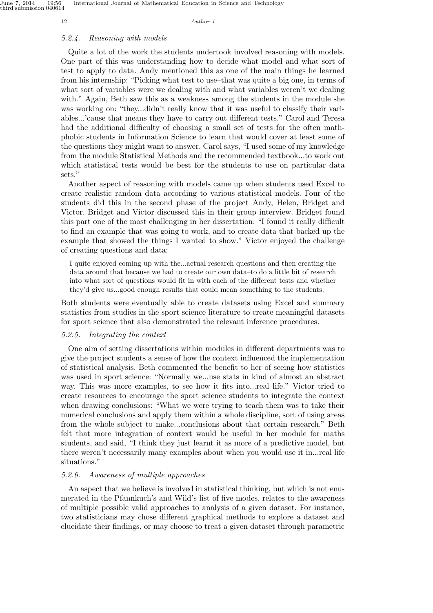# 5.2.4. Reasoning with models

Quite a lot of the work the students undertook involved reasoning with models. One part of this was understanding how to decide what model and what sort of test to apply to data. Andy mentioned this as one of the main things he learned from his internship: "Picking what test to use–that was quite a big one, in terms of what sort of variables were we dealing with and what variables weren't we dealing with." Again, Beth saw this as a weakness among the students in the module she was working on: "they...didn't really know that it was useful to classify their variables...'cause that means they have to carry out different tests." Carol and Teresa had the additional difficulty of choosing a small set of tests for the often mathphobic students in Information Science to learn that would cover at least some of the questions they might want to answer. Carol says, "I used some of my knowledge from the module Statistical Methods and the recommended textbook...to work out which statistical tests would be best for the students to use on particular data sets."

Another aspect of reasoning with models came up when students used Excel to create realistic random data according to various statistical models. Four of the students did this in the second phase of the project–Andy, Helen, Bridget and Victor. Bridget and Victor discussed this in their group interview. Bridget found this part one of the most challenging in her dissertation: "I found it really difficult to find an example that was going to work, and to create data that backed up the example that showed the things I wanted to show." Victor enjoyed the challenge of creating questions and data:

I quite enjoyed coming up with the...actual research questions and then creating the data around that because we had to create our own data–to do a little bit of research into what sort of questions would fit in with each of the different tests and whether they'd give us...good enough results that could mean something to the students.

Both students were eventually able to create datasets using Excel and summary statistics from studies in the sport science literature to create meaningful datasets for sport science that also demonstrated the relevant inference procedures.

## 5.2.5. Integrating the context

One aim of setting dissertations within modules in different departments was to give the project students a sense of how the context influenced the implementation of statistical analysis. Beth commented the benefit to her of seeing how statistics was used in sport science: "Normally we...use stats in kind of almost an abstract way. This was more examples, to see how it fits into...real life." Victor tried to create resources to encourage the sport science students to integrate the context when drawing conclusions: "What we were trying to teach them was to take their numerical conclusions and apply them within a whole discipline, sort of using areas from the whole subject to make...conclusions about that certain research." Beth felt that more integration of context would be useful in her module for maths students, and said, "I think they just learnt it as more of a predictive model, but there weren't necessarily many examples about when you would use it in...real life situations."

# 5.2.6. Awareness of multiple approaches

An aspect that we believe is involved in statistical thinking, but which is not enumerated in the Pfannkuch's and Wild's list of five modes, relates to the awareness of multiple possible valid approaches to analysis of a given dataset. For instance, two statisticians may chose different graphical methods to explore a dataset and elucidate their findings, or may choose to treat a given dataset through parametric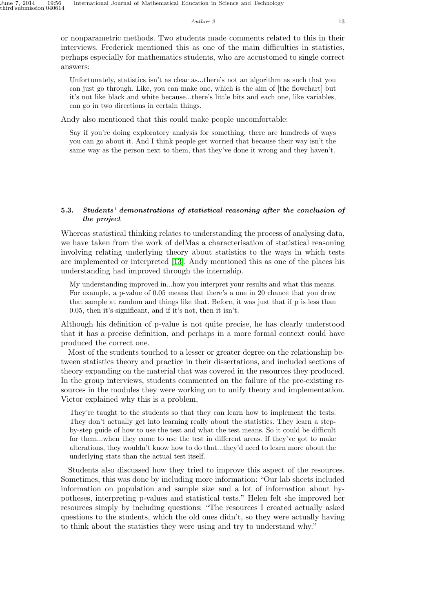or nonparametric methods. Two students made comments related to this in their interviews. Frederick mentioned this as one of the main difficulties in statistics, perhaps especially for mathematics students, who are accustomed to single correct answers:

Unfortunately, statistics isn't as clear as...there's not an algorithm as such that you can just go through. Like, you can make one, which is the aim of [the flowchart] but it's not like black and white because...there's little bits and each one, like variables, can go in two directions in certain things.

Andy also mentioned that this could make people uncomfortable:

Say if you're doing exploratory analysis for something, there are hundreds of ways you can go about it. And I think people get worried that because their way isn't the same way as the person next to them, that they've done it wrong and they haven't.

# 5.3. Students' demonstrations of statistical reasoning after the conclusion of the project

Whereas statistical thinking relates to understanding the process of analysing data, we have taken from the work of delMas a characterisation of statistical reasoning involving relating underlying theory about statistics to the ways in which tests are implemented or interpreted [\[13\]](#page-22-12). Andy mentioned this as one of the places his understanding had improved through the internship.

My understanding improved in...how you interpret your results and what this means. For example, a p-value of 0.05 means that there's a one in 20 chance that you drew that sample at random and things like that. Before, it was just that if p is less than 0.05, then it's significant, and if it's not, then it isn't.

Although his definition of p-value is not quite precise, he has clearly understood that it has a precise definition, and perhaps in a more formal context could have produced the correct one.

Most of the students touched to a lesser or greater degree on the relationship between statistics theory and practice in their dissertations, and included sections of theory expanding on the material that was covered in the resources they produced. In the group interviews, students commented on the failure of the pre-existing resources in the modules they were working on to unify theory and implementation. Victor explained why this is a problem,

They're taught to the students so that they can learn how to implement the tests. They don't actually get into learning really about the statistics. They learn a stepby-step guide of how to use the test and what the test means. So it could be difficult for them...when they come to use the test in different areas. If they've got to make alterations, they wouldn't know how to do that...they'd need to learn more about the underlying stats than the actual test itself.

Students also discussed how they tried to improve this aspect of the resources. Sometimes, this was done by including more information: "Our lab sheets included information on population and sample size and a lot of information about hypotheses, interpreting p-values and statistical tests." Helen felt she improved her resources simply by including questions: "The resources I created actually asked questions to the students, which the old ones didn't, so they were actually having to think about the statistics they were using and try to understand why."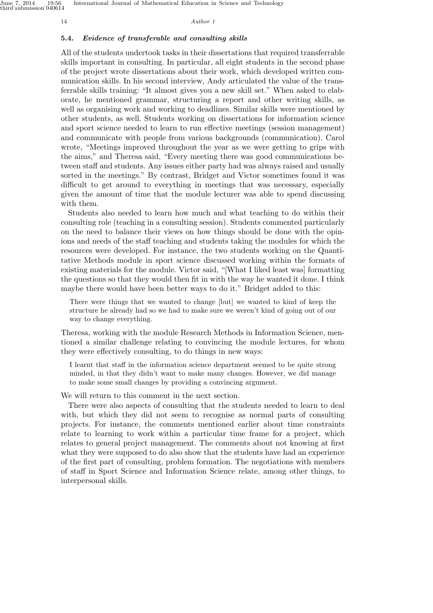# 5.4. Evidence of transferable and consulting skills

All of the students undertook tasks in their dissertations that required transferrable skills important in consulting. In particular, all eight students in the second phase of the project wrote dissertations about their work, which developed written communication skills. In his second interview, Andy articulated the value of the transferrable skills training: "It almost gives you a new skill set." When asked to elaborate, he mentioned grammar, structuring a report and other writing skills, as well as organising work and working to deadlines. Similar skills were mentioned by other students, as well. Students working on dissertations for information science and sport science needed to learn to run effective meetings (session management) and communicate with people from various backgrounds (communication). Carol wrote, "Meetings improved throughout the year as we were getting to grips with the aims," and Theresa said, "Every meeting there was good communications between staff and students. Any issues either party had was always raised and usually sorted in the meetings." By contrast, Bridget and Victor sometimes found it was difficult to get around to everything in meetings that was necessary, especially given the amount of time that the module lecturer was able to spend discussing with them.

Students also needed to learn how much and what teaching to do within their consulting role (teaching in a consulting session). Students commented particularly on the need to balance their views on how things should be done with the opinions and needs of the staff teaching and students taking the modules for which the resources were developed. For instance, the two students working on the Quantitative Methods module in sport science discussed working within the formats of existing materials for the module. Victor said, "[What I liked least was] formatting the questions so that they would then fit in with the way he wanted it done. I think maybe there would have been better ways to do it." Bridget added to this:

There were things that we wanted to change [but] we wanted to kind of keep the structure he already had so we had to make sure we weren't kind of going out of our way to change everything.

Theresa, working with the module Research Methods in Information Science, mentioned a similar challenge relating to convincing the module lectures, for whom they were effectively consulting, to do things in new ways:

I learnt that staff in the information science department seemed to be quite strong minded, in that they didn't want to make many changes. However, we did manage to make some small changes by providing a convincing argument.

We will return to this comment in the next section.

There were also aspects of consulting that the students needed to learn to deal with, but which they did not seem to recognise as normal parts of consulting projects. For instance, the comments mentioned earlier about time constraints relate to learning to work within a particular time frame for a project, which relates to general project management. The comments about not knowing at first what they were supposed to do also show that the students have had an experience of the first part of consulting, problem formation. The negotiations with members of staff in Sport Science and Information Science relate, among other things, to interpersonal skills.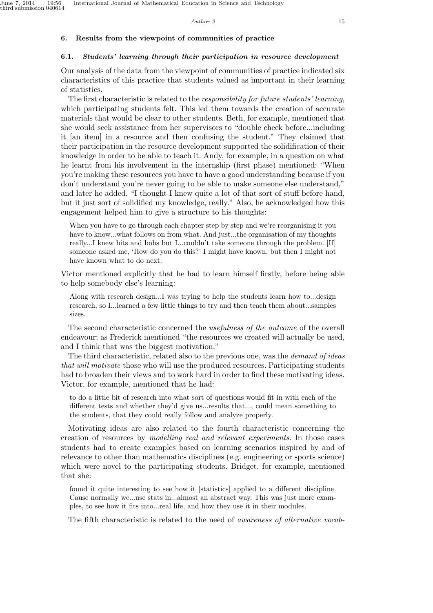# 6. Results from the viewpoint of communities of practice

# 6.1. Students' learning through their participation in resource development

Our analysis of the data from the viewpoint of communities of practice indicated six characteristics of this practice that students valued as important in their learning of statistics.

The first characteristic is related to the responsibility for future students' learning, which participating students felt. This led them towards the creation of accurate materials that would be clear to other students. Beth, for example, mentioned that she would seek assistance from her supervisors to "double check before...including it [an item] in a resource and then confusing the student." They claimed that their participation in the resource development supported the solidification of their knowledge in order to be able to teach it. Andy, for example, in a question on what he learnt from his involvement in the internship (first phase) mentioned: "When you're making these resources you have to have a good understanding because if you don't understand you're never going to be able to make someone else understand," and later he added, "I thought I knew quite a lot of that sort of stuff before hand, but it just sort of solidified my knowledge, really." Also, he acknowledged how this engagement helped him to give a structure to his thoughts:

When you have to go through each chapter step by step and we're reorganising it you have to know...what follows on from what. And just...the organisation of my thoughts really...I knew bits and bobs but I...couldn't take someone through the problem. [If] someone asked me, 'How do you do this?' I might have known, but then I might not have known what to do next.

Victor mentioned explicitly that he had to learn himself firstly, before being able to help somebody else's learning:

Along with research design...I was trying to help the students learn how to...design research, so I...learned a few little things to try and then teach them about...samples sizes.

The second characteristic concerned the usefulness of the outcome of the overall endeavour; as Frederick mentioned "the resources we created will actually be used, and I think that was the biggest motivation."

The third characteristic, related also to the previous one, was the demand of ideas that will motivate those who will use the produced resources. Participating students had to broaden their views and to work hard in order to find these motivating ideas. Victor, for example, mentioned that he had:

to do a little bit of research into what sort of questions would fit in with each of the different tests and whether they'd give us...results that..., could mean something to the students, that they could really follow and analyze properly.

Motivating ideas are also related to the fourth characteristic concerning the creation of resources by modelling real and relevant experiments. In those cases students had to create examples based on learning scenarios inspired by and of relevance to other than mathematics disciplines (e.g. engineering or sports science) which were novel to the participating students. Bridget, for example, mentioned that she:

found it quite interesting to see how it [statistics] applied to a different discipline. Cause normally we...use stats in...almost an abstract way. This was just more examples, to see how it fits into...real life, and how they use it in their modules.

The fifth characteristic is related to the need of awareness of alternative vocab-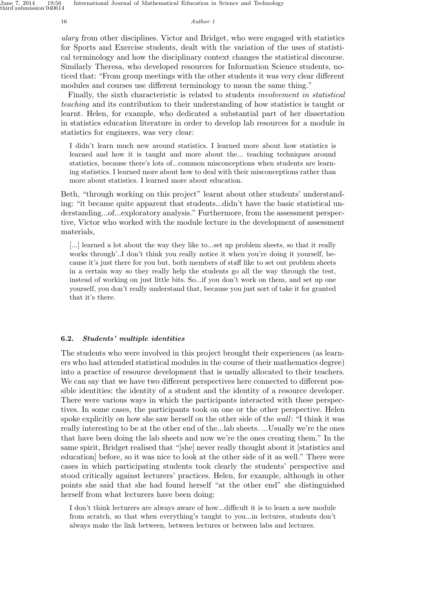ulary from other disciplines. Victor and Bridget, who were engaged with statistics for Sports and Exercise students, dealt with the variation of the uses of statistical terminology and how the disciplinary context changes the statistical discourse. Similarly Theresa, who developed resources for Information Science students, noticed that: "From group meetings with the other students it was very clear different modules and courses use different terminology to mean the same thing."

Finally, the sixth characteristic is related to students involvement in statistical teaching and its contribution to their understanding of how statistics is taught or learnt. Helen, for example, who dedicated a substantial part of her dissertation in statistics education literature in order to develop lab resources for a module in statistics for engineers, was very clear:

I didn't learn much new around statistics. I learned more about how statistics is learned and how it is taught and more about the... teaching techniques around statistics, because there's lots of...common misconceptions when students are learning statistics. I learned more about how to deal with their misconceptions rather than more about statistics. I learned more about education.

Beth, "through working on this project" learnt about other students' understanding: "it became quite apparent that students...didn't have the basic statistical understanding...of...exploratory analysis." Furthermore, from the assessment perspective, Victor who worked with the module lecture in the development of assessment materials,

[...] learned a lot about the way they like to...set up problem sheets, so that it really works through'..I don't think you really notice it when you're doing it yourself, because it's just there for you but, both members of staff like to set out problem sheets in a certain way so they really help the students go all the way through the test, instead of working on just little bits. So...if you don't work on them, and set up one yourself, you don't really understand that, because you just sort of take it for granted that it's there.

## 6.2. Students' multiple identities

The students who were involved in this project brought their experiences (as learners who had attended statistical modules in the course of their mathematics degree) into a practice of resource development that is usually allocated to their teachers. We can say that we have two different perspectives here connected to different possible identities: the identity of a student and the identity of a resource developer. There were various ways in which the participants interacted with these perspectives. In some cases, the participants took on one or the other perspective. Helen spoke explicitly on how she saw herself on the other side of the wall: "I think it was really interesting to be at the other end of the...lab sheets. ...Usually we're the ones that have been doing the lab sheets and now we're the ones creating them." In the same spirit, Bridget realised that "[she] never really thought about it [statistics and education] before, so it was nice to look at the other side of it as well." There were cases in which participating students took clearly the students' perspective and stood critically against lecturers' practices. Helen, for example, although in other points she said that she had found herself "at the other end" she distinguished herself from what lecturers have been doing:

I don't think lecturers are always aware of how...difficult it is to learn a new module from scratch, so that when everything's taught to you...in lectures, students don't always make the link between, between lectures or between labs and lectures.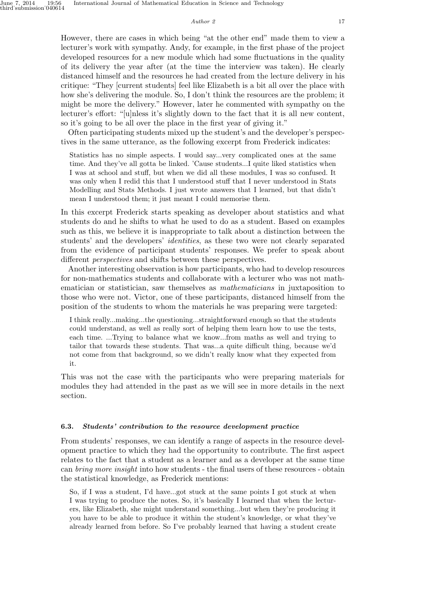However, there are cases in which being "at the other end" made them to view a lecturer's work with sympathy. Andy, for example, in the first phase of the project developed resources for a new module which had some fluctuations in the quality of its delivery the year after (at the time the interview was taken). He clearly distanced himself and the resources he had created from the lecture delivery in his critique: "They [current students] feel like Elizabeth is a bit all over the place with how she's delivering the module. So, I don't think the resources are the problem; it might be more the delivery." However, later he commented with sympathy on the lecturer's effort: "[u]nless it's slightly down to the fact that it is all new content, so it's going to be all over the place in the first year of giving it."

Often participating students mixed up the student's and the developer's perspectives in the same utterance, as the following excerpt from Frederick indicates:

Statistics has no simple aspects. I would say...very complicated ones at the same time. And they've all gotta be linked. 'Cause students...I quite liked statistics when I was at school and stuff, but when we did all these modules, I was so confused. It was only when I redid this that I understood stuff that I never understood in Stats Modelling and Stats Methods. I just wrote answers that I learned, but that didn't mean I understood them; it just meant I could memorise them.

In this excerpt Frederick starts speaking as developer about statistics and what students do and he shifts to what he used to do as a student. Based on examples such as this, we believe it is inappropriate to talk about a distinction between the students' and the developers' identities, as these two were not clearly separated from the evidence of participant students' responses. We prefer to speak about different perspectives and shifts between these perspectives.

Another interesting observation is how participants, who had to develop resources for non-mathematics students and collaborate with a lecturer who was not mathematician or statistician, saw themselves as mathematicians in juxtaposition to those who were not. Victor, one of these participants, distanced himself from the position of the students to whom the materials he was preparing were targeted:

I think really...making...the questioning...straightforward enough so that the students could understand, as well as really sort of helping them learn how to use the tests, each time. ...Trying to balance what we know...from maths as well and trying to tailor that towards these students. That was...a quite difficult thing, because we'd not come from that background, so we didn't really know what they expected from it.

This was not the case with the participants who were preparing materials for modules they had attended in the past as we will see in more details in the next section.

## 6.3. Students' contribution to the resource development practice

From students' responses, we can identify a range of aspects in the resource development practice to which they had the opportunity to contribute. The first aspect relates to the fact that a student as a learner and as a developer at the same time can bring more insight into how students - the final users of these resources - obtain the statistical knowledge, as Frederick mentions:

So, if I was a student, I'd have...got stuck at the same points I got stuck at when I was trying to produce the notes. So, it's basically I learned that when the lecturers, like Elizabeth, she might understand something...but when they're producing it you have to be able to produce it within the student's knowledge, or what they've already learned from before. So I've probably learned that having a student create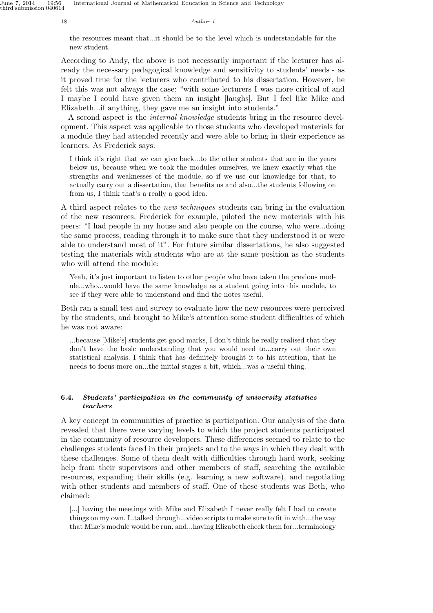the resources meant that...it should be to the level which is understandable for the new student.

According to Andy, the above is not necessarily important if the lecturer has already the necessary pedagogical knowledge and sensitivity to students' needs - as it proved true for the lecturers who contributed to his dissertation. However, he felt this was not always the case: "with some lecturers I was more critical of and I maybe I could have given them an insight [laughs]. But I feel like Mike and Elizabeth...if anything, they gave me an insight into students."

A second aspect is the internal knowledge students bring in the resource development. This aspect was applicable to those students who developed materials for a module they had attended recently and were able to bring in their experience as learners. As Frederick says:

I think it's right that we can give back...to the other students that are in the years below us, because when we took the modules ourselves, we knew exactly what the strengths and weaknesses of the module, so if we use our knowledge for that, to actually carry out a dissertation, that benefits us and also...the students following on from us, I think that's a really a good idea.

A third aspect relates to the new techniques students can bring in the evaluation of the new resources. Frederick for example, piloted the new materials with his peers: "I had people in my house and also people on the course, who were...doing the same process, reading through it to make sure that they understood it or were able to understand most of it". For future similar dissertations, he also suggested testing the materials with students who are at the same position as the students who will attend the module:

Yeah, it's just important to listen to other people who have taken the previous module...who...would have the same knowledge as a student going into this module, to see if they were able to understand and find the notes useful.

Beth ran a small test and survey to evaluate how the new resources were perceived by the students, and brought to Mike's attention some student difficulties of which he was not aware:

...because [Mike's] students get good marks, I don't think he really realised that they don't have the basic understanding that you would need to...carry out their own statistical analysis. I think that has definitely brought it to his attention, that he needs to focus more on...the initial stages a bit, which...was a useful thing.

## 6.4. Students' participation in the community of university statistics teachers

A key concept in communities of practice is participation. Our analysis of the data revealed that there were varying levels to which the project students participated in the community of resource developers. These differences seemed to relate to the challenges students faced in their projects and to the ways in which they dealt with these challenges. Some of them dealt with difficulties through hard work, seeking help from their supervisors and other members of staff, searching the available resources, expanding their skills (e.g. learning a new software), and negotiating with other students and members of staff. One of these students was Beth, who claimed:

[...] having the meetings with Mike and Elizabeth I never really felt I had to create things on my own. I..talked through...video scripts to make sure to fit in with...the way that Mike's module would be run, and...having Elizabeth check them for...terminology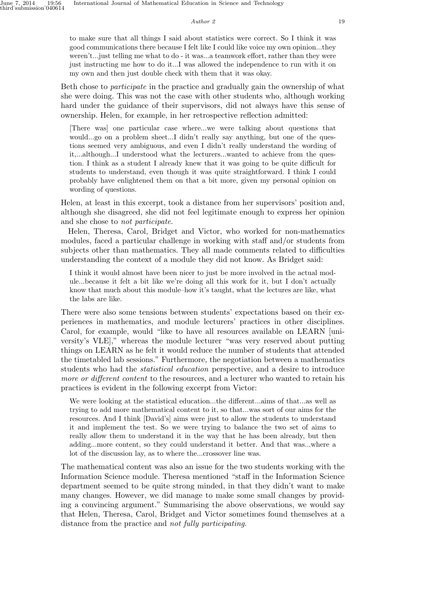to make sure that all things I said about statistics were correct. So I think it was good communications there because I felt like I could like voice my own opinion...they weren't...just telling me what to do - it was...a teamwork effort, rather than they were just instructing me how to do it...I was allowed the independence to run with it on my own and then just double check with them that it was okay.

Beth chose to participate in the practice and gradually gain the ownership of what she were doing. This was not the case with other students who, although working hard under the guidance of their supervisors, did not always have this sense of ownership. Helen, for example, in her retrospective reflection admitted:

[There was] one particular case where...we were talking about questions that would...go on a problem sheet...I didn't really say anything, but one of the questions seemed very ambiguous, and even I didn't really understand the wording of it,...although...I understood what the lecturers...wanted to achieve from the question. I think as a student I already knew that it was going to be quite difficult for students to understand, even though it was quite straightforward. I think I could probably have enlightened them on that a bit more, given my personal opinion on wording of questions.

Helen, at least in this excerpt, took a distance from her supervisors' position and, although she disagreed, she did not feel legitimate enough to express her opinion and she chose to not participate.

Helen, Theresa, Carol, Bridget and Victor, who worked for non-mathematics modules, faced a particular challenge in working with staff and/or students from subjects other than mathematics. They all made comments related to difficulties understanding the context of a module they did not know. As Bridget said:

I think it would almost have been nicer to just be more involved in the actual module...because it felt a bit like we're doing all this work for it, but I don't actually know that much about this module–how it's taught, what the lectures are like, what the labs are like.

There were also some tensions between students' expectations based on their experiences in mathematics, and module lecturers' practices in other disciplines. Carol, for example, would "like to have all resources available on LEARN [university's VLE]," whereas the module lecturer "was very reserved about putting things on LEARN as he felt it would reduce the number of students that attended the timetabled lab sessions." Furthermore, the negotiation between a mathematics students who had the statistical education perspective, and a desire to introduce more or different content to the resources, and a lecturer who wanted to retain his practices is evident in the following excerpt from Victor:

We were looking at the statistical education...the different...aims of that...as well as trying to add more mathematical content to it, so that...was sort of our aims for the resources. And I think [David's] aims were just to allow the students to understand it and implement the test. So we were trying to balance the two set of aims to really allow them to understand it in the way that he has been already, but then adding...more content, so they could understand it better. And that was...where a lot of the discussion lay, as to where the...crossover line was.

The mathematical content was also an issue for the two students working with the Information Science module. Theresa mentioned "staff in the Information Science department seemed to be quite strong minded, in that they didn't want to make many changes. However, we did manage to make some small changes by providing a convincing argument." Summarising the above observations, we would say that Helen, Theresa, Carol, Bridget and Victor sometimes found themselves at a distance from the practice and *not fully participating*.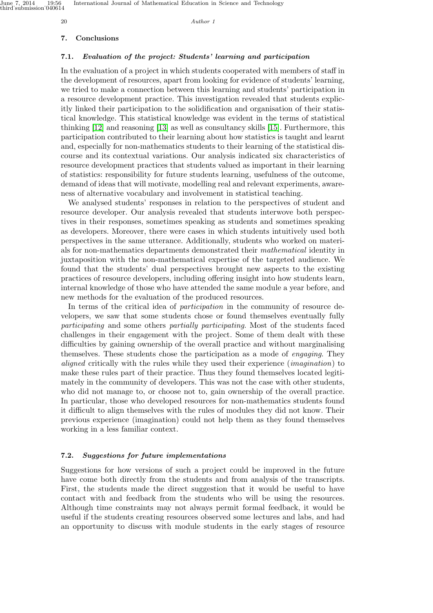# 7. Conclusions

# 7.1. Evaluation of the project: Students' learning and participation

In the evaluation of a project in which students cooperated with members of staff in the development of resources, apart from looking for evidence of students' learning, we tried to make a connection between this learning and students' participation in a resource development practice. This investigation revealed that students explicitly linked their participation to the solidification and organisation of their statistical knowledge. This statistical knowledge was evident in the terms of statistical thinking [\[12\]](#page-22-11) and reasoning [\[13\]](#page-22-12) as well as consultancy skills [\[15\]](#page-22-14). Furthermore, this participation contributed to their learning about how statistics is taught and learnt and, especially for non-mathematics students to their learning of the statistical discourse and its contextual variations. Our analysis indicated six characteristics of resource development practices that students valued as important in their learning of statistics: responsibility for future students learning, usefulness of the outcome, demand of ideas that will motivate, modelling real and relevant experiments, awareness of alternative vocabulary and involvement in statistical teaching.

We analysed students' responses in relation to the perspectives of student and resource developer. Our analysis revealed that students interwove both perspectives in their responses, sometimes speaking as students and sometimes speaking as developers. Moreover, there were cases in which students intuitively used both perspectives in the same utterance. Additionally, students who worked on materials for non-mathematics departments demonstrated their mathematical identity in juxtaposition with the non-mathematical expertise of the targeted audience. We found that the students' dual perspectives brought new aspects to the existing practices of resource developers, including offering insight into how students learn, internal knowledge of those who have attended the same module a year before, and new methods for the evaluation of the produced resources.

In terms of the critical idea of *participation* in the community of resource developers, we saw that some students chose or found themselves eventually fully participating and some others partially participating. Most of the students faced challenges in their engagement with the project. Some of them dealt with these difficulties by gaining ownership of the overall practice and without marginalising themselves. These students chose the participation as a mode of engaging. They aligned critically with the rules while they used their experience (imagination) to make these rules part of their practice. Thus they found themselves located legitimately in the community of developers. This was not the case with other students, who did not manage to, or choose not to, gain ownership of the overall practice. In particular, those who developed resources for non-mathematics students found it difficult to align themselves with the rules of modules they did not know. Their previous experience (imagination) could not help them as they found themselves working in a less familiar context.

# 7.2. Suggestions for future implementations

Suggestions for how versions of such a project could be improved in the future have come both directly from the students and from analysis of the transcripts. First, the students made the direct suggestion that it would be useful to have contact with and feedback from the students who will be using the resources. Although time constraints may not always permit formal feedback, it would be useful if the students creating resources observed some lectures and labs, and had an opportunity to discuss with module students in the early stages of resource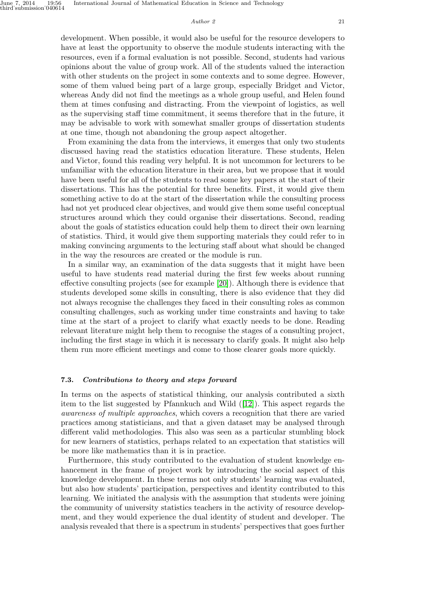development. When possible, it would also be useful for the resource developers to have at least the opportunity to observe the module students interacting with the resources, even if a formal evaluation is not possible. Second, students had various opinions about the value of group work. All of the students valued the interaction with other students on the project in some contexts and to some degree. However, some of them valued being part of a large group, especially Bridget and Victor, whereas Andy did not find the meetings as a whole group useful, and Helen found them at times confusing and distracting. From the viewpoint of logistics, as well as the supervising staff time commitment, it seems therefore that in the future, it may be advisable to work with somewhat smaller groups of dissertation students at one time, though not abandoning the group aspect altogether.

From examining the data from the interviews, it emerges that only two students discussed having read the statistics education literature. These students, Helen and Victor, found this reading very helpful. It is not uncommon for lecturers to be unfamiliar with the education literature in their area, but we propose that it would have been useful for all of the students to read some key papers at the start of their dissertations. This has the potential for three benefits. First, it would give them something active to do at the start of the dissertation while the consulting process had not yet produced clear objectives, and would give them some useful conceptual structures around which they could organise their dissertations. Second, reading about the goals of statistics education could help them to direct their own learning of statistics. Third, it would give them supporting materials they could refer to in making convincing arguments to the lecturing staff about what should be changed in the way the resources are created or the module is run.

In a similar way, an examination of the data suggests that it might have been useful to have students read material during the first few weeks about running effective consulting projects (see for example [\[20\]](#page-22-19)). Although there is evidence that students developed some skills in consulting, there is also evidence that they did not always recognise the challenges they faced in their consulting roles as common consulting challenges, such as working under time constraints and having to take time at the start of a project to clarify what exactly needs to be done. Reading relevant literature might help them to recognise the stages of a consulting project, including the first stage in which it is necessary to clarify goals. It might also help them run more efficient meetings and come to those clearer goals more quickly.

## 7.3. Contributions to theory and steps forward

In terms on the aspects of statistical thinking, our analysis contributed a sixth item to the list suggested by Pfannkuch and Wild ([\[12\]](#page-22-11)). This aspect regards the awareness of multiple approaches, which covers a recognition that there are varied practices among statisticians, and that a given dataset may be analysed through different valid methodologies. This also was seen as a particular stumbling block for new learners of statistics, perhaps related to an expectation that statistics will be more like mathematics than it is in practice.

Furthermore, this study contributed to the evaluation of student knowledge enhancement in the frame of project work by introducing the social aspect of this knowledge development. In these terms not only students' learning was evaluated, but also how students' participation, perspectives and identity contributed to this learning. We initiated the analysis with the assumption that students were joining the community of university statistics teachers in the activity of resource development, and they would experience the dual identity of student and developer. The analysis revealed that there is a spectrum in students' perspectives that goes further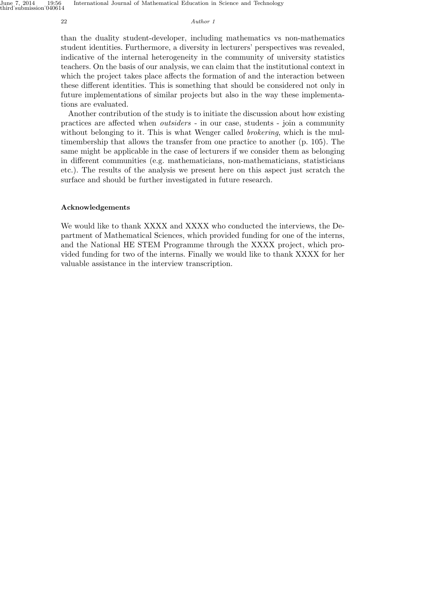than the duality student-developer, including mathematics vs non-mathematics student identities. Furthermore, a diversity in lecturers' perspectives was revealed, indicative of the internal heterogeneity in the community of university statistics teachers. On the basis of our analysis, we can claim that the institutional context in which the project takes place affects the formation of and the interaction between these different identities. This is something that should be considered not only in future implementations of similar projects but also in the way these implementations are evaluated.

Another contribution of the study is to initiate the discussion about how existing practices are affected when outsiders - in our case, students - join a community without belonging to it. This is what Wenger called *brokering*, which is the multimembership that allows the transfer from one practice to another (p. 105). The same might be applicable in the case of lecturers if we consider them as belonging in different communities (e.g. mathematicians, non-mathematicians, statisticians etc.). The results of the analysis we present here on this aspect just scratch the surface and should be further investigated in future research.

## Acknowledgements

We would like to thank XXXX and XXXX who conducted the interviews, the Department of Mathematical Sciences, which provided funding for one of the interns, and the National HE STEM Programme through the XXXX project, which provided funding for two of the interns. Finally we would like to thank XXXX for her valuable assistance in the interview transcription.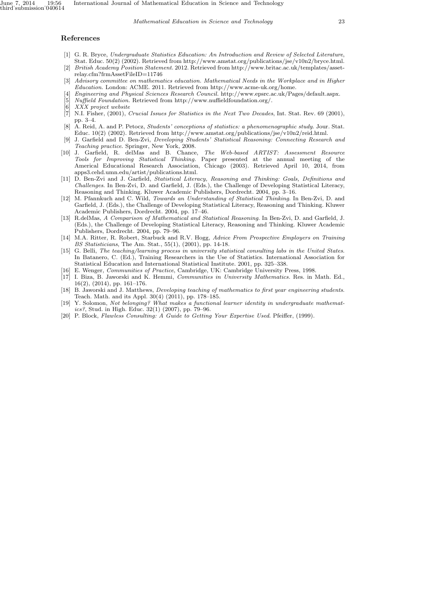#### References

- <span id="page-22-0"></span>[1] G. R. Bryce, Undergraduate Statistics Education: An Introduction and Review of Selected Literature, Stat. Educ. 50(2) (2002). Retrieved from http://www.amstat.org/publications/jse/v10n2/bryce.html.
- <span id="page-22-1"></span>[2] British Academy Position Statement. 2012. Retrieved from http://www.britac.ac.uk/templates/assetrelay.cfm?frmAssetFileID=11746
- <span id="page-22-2"></span>[3] Advisory committee on mathematics education. Mathematical Needs in the Workplace and in Higher Education. London: ACME. 2011. Retrieved from http://www.acme-uk.org/home.
- <span id="page-22-3"></span>[4] Engineering and Physical Sciences Research Council. http://www.epsrc.ac.uk/Pages/default.aspx.
- <span id="page-22-4"></span>[5] Nuffield Foundation. Retrieved from http://www.nuffieldfoundation.org/.
- <span id="page-22-5"></span>[6] XXX project website
- <span id="page-22-6"></span>[7] N.I. Fisher, (2001), Crucial Issues for Statistics in the Next Two Decades, Int. Stat. Rev. 69 (2001), pp. 3–4.
- <span id="page-22-7"></span>[8] A. Reid, A. and P. Petocz, Students' conceptions of statistics: a phenomenographic study. Jour. Stat. Educ. 10(2) (2002). Retrieved from http://www.amstat.org/publications/jse/v10n2/reid.html.
- <span id="page-22-8"></span>[9] J. Garfield and D. Ben-Zvi, Developing Students' Statistical Reasoning: Connecting Research and Teaching practice. Springer, New York, 2008.
- <span id="page-22-9"></span>[10] J. Garfield, R. delMas and B. Chance, The Web-based ARTIST: Assessment Resource Tools for Improving Statistical Thinking. Paper presented at the annual meeting of the Americal Educational Research Association, Chicago (2003). Retrieved April 10, 2014, from apps3.cehd.umn.edu/artist/publications.html.
- <span id="page-22-10"></span>[11] D. Ben-Zvi and J. Garfield, Statistical Literacy, Reasoning and Thinking: Goals, Definitions and Challenges. In Ben-Zvi, D. and Garfield, J. (Eds.), the Challenge of Developing Statistical Literacy, Reasoning and Thinking. Kluwer Academic Publishers, Dordrecht. 2004, pp. 3–16.
- <span id="page-22-11"></span>[12] M. Pfannkuch and C. Wild, Towards an Understanding of Statistical Thinking. In Ben-Zvi, D. and Garfield, J. (Eds.), the Challenge of Developing Statistical Literacy, Reasoning and Thinking. Kluwer Academic Publishers, Dordrecht. 2004, pp. 17–46.
- <span id="page-22-12"></span>[13] R.delMas, A Comparison of Mathematical and Statistical Reasoning. In Ben-Zvi, D. and Garfield, J. (Eds.), the Challenge of Developing Statistical Literacy, Reasoning and Thinking. Kluwer Academic Publishers, Dordrecht. 2004, pp. 79–96.
- <span id="page-22-13"></span>[14] M.A. Ritter, R. Robert, Starbuck and R.V. Hogg, Advice From Prospective Employers on Training BS Statisticians, The Am. Stat., 55(1), (2001), pp. 14-18.
- <span id="page-22-14"></span>[15] G. Belli, The teaching/learning process in university statistical consulting labs in the United States. In Batanero, C. (Ed.), Training Researchers in the Use of Statistics. International Association for Statistical Education and International Statistical Institute. 2001, pp. 325–338.
- <span id="page-22-15"></span>[16] E. Wenger, Communities of Practice, Cambridge, UK: Cambridge University Press, 1998.
- <span id="page-22-16"></span>[17] I. Biza, B. Jaworski and K. Hemmi, Communities in University Mathematics. Res. in Math. Ed., 16(2), (2014), pp. 161–176.
- <span id="page-22-17"></span>[18] B. Jaworski and J. Matthews, Developing teaching of mathematics to first year engineering students. Teach. Math. and its Appl. 30(4) (2011), pp. 178–185.
- <span id="page-22-18"></span>[19] Y. Solomon, Not belonging? What makes a functional learner identity in undergraduate mathemat $ics?$ , Stud. in High. Educ.  $32(1)$  (2007), pp. 79–96.
- <span id="page-22-19"></span>[20] P. Block, Flawless Consulting: A Guide to Getting Your Expertise Used. Pfeiffer, (1999).